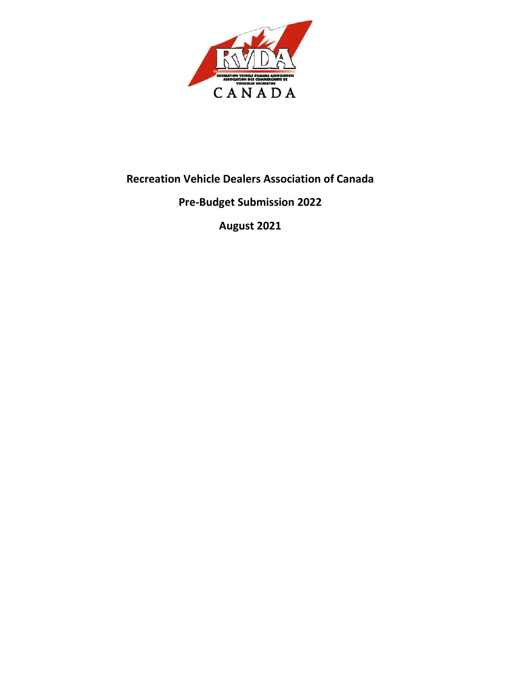

# **Recreation Vehicle Dealers Association of Canada**

## **Pre-Budget Submission 2022**

**August 2021**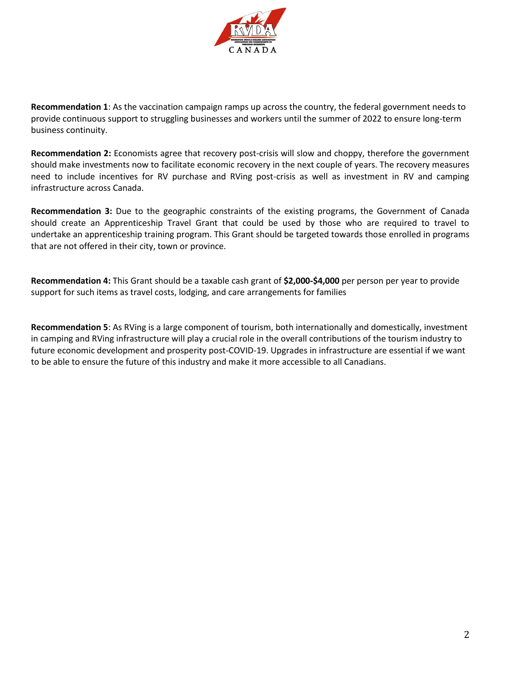

**Recommendation 1**: As the vaccination campaign ramps up across the country, the federal government needs to provide continuous support to struggling businesses and workers until the summer of 2022 to ensure long-term business continuity.

**Recommendation 2:** Economists agree that recovery post-crisis will slow and choppy, therefore the government should make investments now to facilitate economic recovery in the next couple of years. The recovery measures need to include incentives for RV purchase and RVing post-crisis as well as investment in RV and camping infrastructure across Canada.

**Recommendation 3:** Due to the geographic constraints of the existing programs, the Government of Canada should create an Apprenticeship Travel Grant that could be used by those who are required to travel to undertake an apprenticeship training program. This Grant should be targeted towards those enrolled in programs that are not offered in their city, town or province.

**Recommendation 4:** This Grant should be a taxable cash grant of **\$2,000-\$4,000** per person per year to provide support for such items as travel costs, lodging, and care arrangements for families

**Recommendation 5**: As RVing is a large component of tourism, both internationally and domestically, investment in camping and RVing infrastructure will play a crucial role in the overall contributions of the tourism industry to future economic development and prosperity post-COVID-19. Upgrades in infrastructure are essential if we want to be able to ensure the future of this industry and make it more accessible to all Canadians.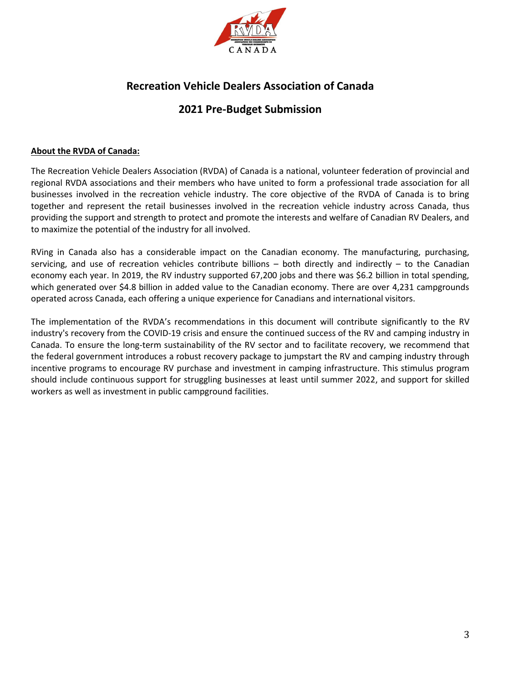

## **Recreation Vehicle Dealers Association of Canada**

### **2021 Pre-Budget Submission**

#### **About the RVDA of Canada:**

The Recreation Vehicle Dealers Association (RVDA) of Canada is a national, volunteer federation of provincial and regional RVDA associations and their members who have united to form a professional trade association for all businesses involved in the recreation vehicle industry. The core objective of the RVDA of Canada is to bring together and represent the retail businesses involved in the recreation vehicle industry across Canada, thus providing the support and strength to protect and promote the interests and welfare of Canadian RV Dealers, and to maximize the potential of the industry for all involved.

RVing in Canada also has a considerable impact on the Canadian economy. The manufacturing, purchasing, servicing, and use of recreation vehicles contribute billions  $-$  both directly and indirectly  $-$  to the Canadian economy each year. In 2019, the RV industry supported 67,200 jobs and there was \$6.2 billion in total spending, which generated over \$4.8 billion in added value to the Canadian economy. There are over 4,231 campgrounds operated across Canada, each offering a unique experience for Canadians and international visitors.

The implementation of the RVDA's recommendations in this document will contribute significantly to the RV industry's recovery from the COVID-19 crisis and ensure the continued success of the RV and camping industry in Canada. To ensure the long-term sustainability of the RV sector and to facilitate recovery, we recommend that the federal government introduces a robust recovery package to jumpstart the RV and camping industry through incentive programs to encourage RV purchase and investment in camping infrastructure. This stimulus program should include continuous support for struggling businesses at least until summer 2022, and support for skilled workers as well as investment in public campground facilities.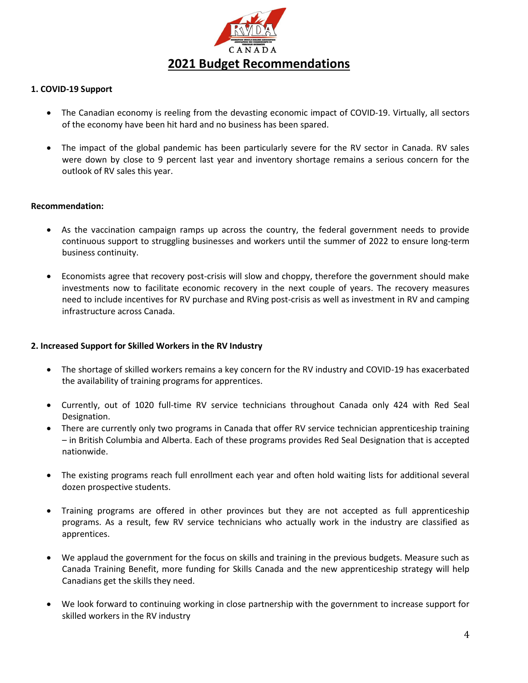

#### **1. COVID-19 Support**

- The Canadian economy is reeling from the devasting economic impact of COVID-19. Virtually, all sectors of the economy have been hit hard and no business has been spared.
- The impact of the global pandemic has been particularly severe for the RV sector in Canada. RV sales were down by close to 9 percent last year and inventory shortage remains a serious concern for the outlook of RV sales this year.

#### **Recommendation:**

- As the vaccination campaign ramps up across the country, the federal government needs to provide continuous support to struggling businesses and workers until the summer of 2022 to ensure long-term business continuity.
- Economists agree that recovery post-crisis will slow and choppy, therefore the government should make investments now to facilitate economic recovery in the next couple of years. The recovery measures need to include incentives for RV purchase and RVing post-crisis as well as investment in RV and camping infrastructure across Canada.

#### **2. Increased Support for Skilled Workers in the RV Industry**

- The shortage of skilled workers remains a key concern for the RV industry and COVID-19 has exacerbated the availability of training programs for apprentices.
- Currently, out of 1020 full-time RV service technicians throughout Canada only 424 with Red Seal Designation.
- There are currently only two programs in Canada that offer RV service technician apprenticeship training – in British Columbia and Alberta. Each of these programs provides Red Seal Designation that is accepted nationwide.
- The existing programs reach full enrollment each year and often hold waiting lists for additional several dozen prospective students.
- Training programs are offered in other provinces but they are not accepted as full apprenticeship programs. As a result, few RV service technicians who actually work in the industry are classified as apprentices.
- We applaud the government for the focus on skills and training in the previous budgets. Measure such as Canada Training Benefit, more funding for Skills Canada and the new apprenticeship strategy will help Canadians get the skills they need.
- We look forward to continuing working in close partnership with the government to increase support for skilled workers in the RV industry